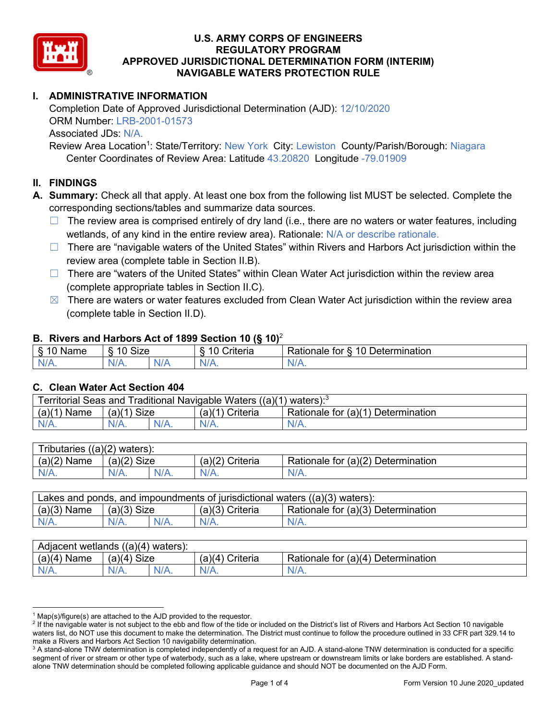

# **I. ADMINISTRATIVE INFORMATION**

Completion Date of Approved Jurisdictional Determination (AJD): 12/10/2020 ORM Number: LRB-2001-01573 Associated JDs: N/A.

Review Area Location<sup>1</sup>: State/Territory: New York City: Lewiston County/Parish/Borough: Niagara Center Coordinates of Review Area: Latitude 43.20820 Longitude -79.01909

### **II. FINDINGS**

**A. Summary:** Check all that apply. At least one box from the following list MUST be selected. Complete the corresponding sections/tables and summarize data sources.

- $\Box$  The review area is comprised entirely of dry land (i.e., there are no waters or water features, including wetlands, of any kind in the entire review area). Rationale: N/A or describe rationale.
- $\Box$  There are "navigable waters of the United States" within Rivers and Harbors Act jurisdiction within the review area (complete table in Section II.B).
- $\Box$  There are "waters of the United States" within Clean Water Act jurisdiction within the review area (complete appropriate tables in Section II.C).
- $\boxtimes$  There are waters or water features excluded from Clean Water Act jurisdiction within the review area (complete table in Section II.D).

### **B. Rivers and Harbors Act of 1899 Section 10 (§ 10)**<sup>2</sup>

| w                            |                        |     |                |                                                                                                   |  |  |  |
|------------------------------|------------------------|-----|----------------|---------------------------------------------------------------------------------------------------|--|--|--|
| R<br>.<br>'vallie'<br>υ<br>ູ | Size<br>$\overline{A}$ |     | 10<br>`rıterıa | $\overline{\phantom{a}}$<br>10 <sup>1</sup><br>Jetermination<br>$-1 - 1 - 1$<br>tor<br>ationale a |  |  |  |
| N/L                          | N/A.                   | NIF | N/A            | 11 I N.                                                                                           |  |  |  |

### **C. Clean Water Act Section 404**

| <b>Territorial Seas and</b><br>Traditional Navigable Waters ((a)(1)<br>waters): <sup>3</sup> |                |  |                    |                                         |  |  |
|----------------------------------------------------------------------------------------------|----------------|--|--------------------|-----------------------------------------|--|--|
| (a)(1)<br>Name                                                                               | Size<br>(a)(1) |  | (a)(1)<br>Criteria | Rationale for (a)(1) D<br>Determination |  |  |
|                                                                                              | $N/A$ .        |  | $N/A$ .            | $N/A$ .                                 |  |  |

| Tributaries<br>$((a)(2)$ waters): |                |         |                    |                                    |  |  |
|-----------------------------------|----------------|---------|--------------------|------------------------------------|--|--|
| (a)(2)<br>Name                    | (a)(2)<br>Size |         | (a)(2)<br>Criteria | Rationale for (a)(2) Determination |  |  |
| $N/A$ .                           | $N/A$ .        | $N/A$ . | $N/A$ .            | N/A.                               |  |  |

| Lakes and ponds, and impoundments of jurisdictional waters $((a)(3)$ waters): |               |  |                   |                                    |  |  |
|-------------------------------------------------------------------------------|---------------|--|-------------------|------------------------------------|--|--|
| $(a)(3)$ Name                                                                 | $(a)(3)$ Size |  | $(a)(3)$ Criteria | Rationale for (a)(3) Determination |  |  |
| $N/A$ .                                                                       | $N/A$ .       |  | $N/A$ .           | $N/A$ .                            |  |  |

| Adjacent<br>((a)(4)<br>) waters):<br>wetlands |                       |         |                   |                                          |  |  |
|-----------------------------------------------|-----------------------|---------|-------------------|------------------------------------------|--|--|
| (a)(4)<br>Name                                | (a)(4)<br><b>Size</b> |         | (a)(4<br>Criteria | (a)(4)<br>Rationale for<br>Determination |  |  |
| N/A.                                          | $N/A$ .               | $N/A$ . | $N/A$ .           | $N/A$ .                                  |  |  |

 $1$  Map(s)/figure(s) are attached to the AJD provided to the requestor.

<sup>&</sup>lt;sup>2</sup> If the navigable water is not subject to the ebb and flow of the tide or included on the District's list of Rivers and Harbors Act Section 10 navigable waters list, do NOT use this document to make the determination. The District must continue to follow the procedure outlined in 33 CFR part 329.14 to make a Rivers and Harbors Act Section 10 navigability determination.

<sup>&</sup>lt;sup>3</sup> A stand-alone TNW determination is completed independently of a request for an AJD. A stand-alone TNW determination is conducted for a specific segment of river or stream or other type of waterbody, such as a lake, where upstream or downstream limits or lake borders are established. A standalone TNW determination should be completed following applicable guidance and should NOT be documented on the AJD Form.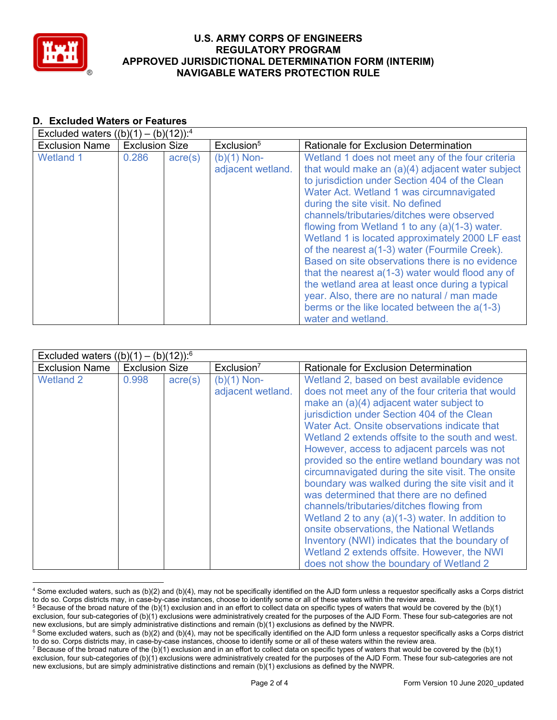

#### **D. Excluded Waters or Features** Explided waters  $((b)(1)$   $(b)(12))$ :4

| EXCluded Waters $((D)(T) - (D)(TZ))$ . |                       |                  |                                    |                                                                                                                                                                                                                                                                                                                                                                                                                                                                                                                                                                                                                                                                                                                             |
|----------------------------------------|-----------------------|------------------|------------------------------------|-----------------------------------------------------------------------------------------------------------------------------------------------------------------------------------------------------------------------------------------------------------------------------------------------------------------------------------------------------------------------------------------------------------------------------------------------------------------------------------------------------------------------------------------------------------------------------------------------------------------------------------------------------------------------------------------------------------------------------|
| <b>Exclusion Name</b>                  | <b>Exclusion Size</b> |                  | Exclusion <sup>5</sup>             | Rationale for Exclusion Determination                                                                                                                                                                                                                                                                                                                                                                                                                                                                                                                                                                                                                                                                                       |
| <b>Wetland 1</b>                       | 0.286                 | $\text{acre}(s)$ | $(b)(1)$ Non-<br>adjacent wetland. | Wetland 1 does not meet any of the four criteria<br>that would make an (a)(4) adjacent water subject<br>to jurisdiction under Section 404 of the Clean<br>Water Act. Wetland 1 was circumnavigated<br>during the site visit. No defined<br>channels/tributaries/ditches were observed<br>flowing from Wetland 1 to any (a)(1-3) water.<br>Wetland 1 is located approximately 2000 LF east<br>of the nearest a(1-3) water (Fourmile Creek).<br>Based on site observations there is no evidence<br>that the nearest $a(1-3)$ water would flood any of<br>the wetland area at least once during a typical<br>year. Also, there are no natural / man made<br>berms or the like located between the a(1-3)<br>water and wetland. |

| Excluded waters $((b)(1) - (b)(12))$ : <sup>6</sup> |                       |                  |                                    |                                                                                                                                                                                                                                                                                                                                                                                                                                                                                                                                                                                                                                                                                                                                                                                                                                                    |  |  |
|-----------------------------------------------------|-----------------------|------------------|------------------------------------|----------------------------------------------------------------------------------------------------------------------------------------------------------------------------------------------------------------------------------------------------------------------------------------------------------------------------------------------------------------------------------------------------------------------------------------------------------------------------------------------------------------------------------------------------------------------------------------------------------------------------------------------------------------------------------------------------------------------------------------------------------------------------------------------------------------------------------------------------|--|--|
| <b>Exclusion Name</b>                               | <b>Exclusion Size</b> |                  | Exclusion <sup>7</sup>             | Rationale for Exclusion Determination                                                                                                                                                                                                                                                                                                                                                                                                                                                                                                                                                                                                                                                                                                                                                                                                              |  |  |
| <b>Wetland 2</b>                                    | 0.998                 | $\text{acre}(s)$ | $(b)(1)$ Non-<br>adjacent wetland. | Wetland 2, based on best available evidence<br>does not meet any of the four criteria that would<br>make an (a)(4) adjacent water subject to<br>jurisdiction under Section 404 of the Clean<br>Water Act. Onsite observations indicate that<br>Wetland 2 extends offsite to the south and west.<br>However, access to adjacent parcels was not<br>provided so the entire wetland boundary was not<br>circumnavigated during the site visit. The onsite<br>boundary was walked during the site visit and it<br>was determined that there are no defined<br>channels/tributaries/ditches flowing from<br>Wetland 2 to any $(a)(1-3)$ water. In addition to<br>onsite observations, the National Wetlands<br>Inventory (NWI) indicates that the boundary of<br>Wetland 2 extends offsite. However, the NWI<br>does not show the boundary of Wetland 2 |  |  |

<sup>4</sup> Some excluded waters, such as (b)(2) and (b)(4), may not be specifically identified on the AJD form unless a requestor specifically asks a Corps district to do so. Corps districts may, in case-by-case instances, choose to identify some or all of these waters within the review area.

 $5$  Because of the broad nature of the (b)(1) exclusion and in an effort to collect data on specific types of waters that would be covered by the (b)(1) exclusion, four sub-categories of (b)(1) exclusions were administratively created for the purposes of the AJD Form. These four sub-categories are not new exclusions, but are simply administrative distinctions and remain (b)(1) exclusions as defined by the NWPR.

 $6$  Some excluded waters, such as (b)(2) and (b)(4), may not be specifically identified on the AJD form unless a requestor specifically asks a Corps district to do so. Corps districts may, in case-by-case instances, choose to identify some or all of these waters within the review area.

<sup>&</sup>lt;sup>7</sup> Because of the broad nature of the (b)(1) exclusion and in an effort to collect data on specific types of waters that would be covered by the (b)(1) exclusion, four sub-categories of (b)(1) exclusions were administratively created for the purposes of the AJD Form. These four sub-categories are not new exclusions, but are simply administrative distinctions and remain (b)(1) exclusions as defined by the NWPR.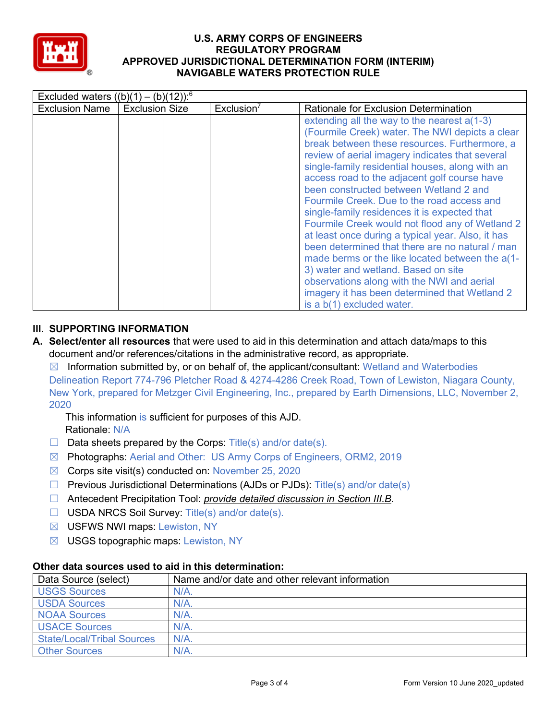

| Excluded waters $((b)(1) - (b)(12))$ : <sup>6</sup> |                       |                        |                                                                                                                                                                                                                                                                                                                                                                                                                                                                                                                                                                                                                                                                                                                                                                                                                                |  |  |
|-----------------------------------------------------|-----------------------|------------------------|--------------------------------------------------------------------------------------------------------------------------------------------------------------------------------------------------------------------------------------------------------------------------------------------------------------------------------------------------------------------------------------------------------------------------------------------------------------------------------------------------------------------------------------------------------------------------------------------------------------------------------------------------------------------------------------------------------------------------------------------------------------------------------------------------------------------------------|--|--|
| <b>Exclusion Name</b>                               | <b>Exclusion Size</b> | Exclusion <sup>7</sup> | <b>Rationale for Exclusion Determination</b>                                                                                                                                                                                                                                                                                                                                                                                                                                                                                                                                                                                                                                                                                                                                                                                   |  |  |
|                                                     |                       |                        | extending all the way to the nearest a(1-3)<br>(Fourmile Creek) water. The NWI depicts a clear<br>break between these resources. Furthermore, a<br>review of aerial imagery indicates that several<br>single-family residential houses, along with an<br>access road to the adjacent golf course have<br>been constructed between Wetland 2 and<br>Fourmile Creek. Due to the road access and<br>single-family residences it is expected that<br>Fourmile Creek would not flood any of Wetland 2<br>at least once during a typical year. Also, it has<br>been determined that there are no natural / man<br>made berms or the like located between the a(1-<br>3) water and wetland. Based on site<br>observations along with the NWI and aerial<br>imagery it has been determined that Wetland 2<br>is a b(1) excluded water. |  |  |

# **III. SUPPORTING INFORMATION**

**A. Select/enter all resources** that were used to aid in this determination and attach data/maps to this document and/or references/citations in the administrative record, as appropriate.

 $\boxtimes$  Information submitted by, or on behalf of, the applicant/consultant: Wetland and Waterbodies Delineation Report 774-796 Pletcher Road & 4274-4286 Creek Road, Town of Lewiston, Niagara County, New York, prepared for Metzger Civil Engineering, Inc., prepared by Earth Dimensions, LLC, November 2, 2020

This information is sufficient for purposes of this AJD. Rationale: N/A

- $\Box$  Data sheets prepared by the Corps: Title(s) and/or date(s).
- ☒ Photographs: Aerial and Other: US Army Corps of Engineers, ORM2, 2019
- ☒ Corps site visit(s) conducted on: November 25, 2020
- $\Box$  Previous Jurisdictional Determinations (AJDs or PJDs): Title(s) and/or date(s)
- ☐ Antecedent Precipitation Tool: *provide detailed discussion in Section III.B*.
- ☐ USDA NRCS Soil Survey: Title(s) and/or date(s).
- ☒ USFWS NWI maps: Lewiston, NY
- $\boxtimes$  USGS topographic maps: Lewiston, NY

## **Other data sources used to aid in this determination:**

| Data Source (select)              | Name and/or date and other relevant information |
|-----------------------------------|-------------------------------------------------|
| <b>USGS Sources</b>               | $N/A$ .                                         |
| <b>USDA Sources</b>               | $N/A$ .                                         |
| <b>NOAA Sources</b>               | $N/A$ .                                         |
| <b>USACE Sources</b>              | N/A                                             |
| <b>State/Local/Tribal Sources</b> | $N/A$ .                                         |
| <b>Other Sources</b>              | $N/A$ .                                         |